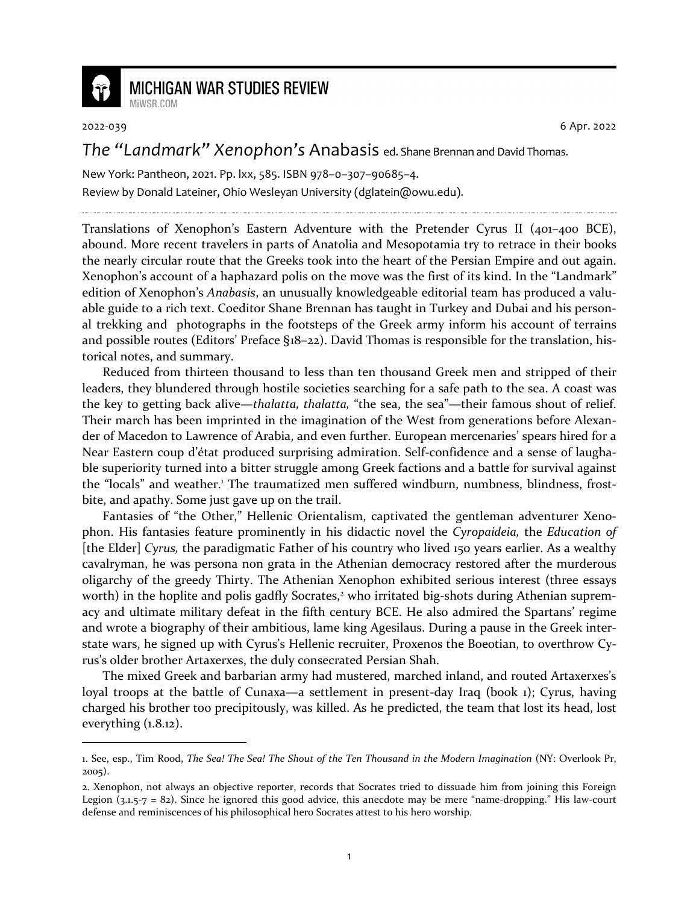

## **MICHIGAN WAR STUDIES REVIEW**

MiWSR COM

2022-039 6 Apr. 2022

*The "Landmark" Xenophon's* Anabasis ed. Shane Brennan and David Thomas.

New York: Pantheon, 2021. Pp. lxx, 585. ISBN 978–0–307–90685–4. Review by Donald Lateiner, Ohio Wesleyan University (dglatein@owu.edu).

Translations of Xenophon's Eastern Adventure with the Pretender Cyrus II (401–400 BCE), abound. More recent travelers in parts of Anatolia and Mesopotamia try to retrace in their books the nearly circular route that the Greeks took into the heart of the Persian Empire and out again. Xenophon's account of a haphazard polis on the move was the first of its kind. In the "Landmark" edition of Xenophon's *Anabasis*, an unusually knowledgeable editorial team has produced a valuable guide to a rich text. Coeditor Shane Brennan has taught in Turkey and Dubai and his personal trekking and photographs in the footsteps of the Greek army inform his account of terrains and possible routes (Editors' Preface §18–22). David Thomas is responsible for the translation, historical notes, and summary.

Reduced from thirteen thousand to less than ten thousand Greek men and stripped of their leaders, they blundered through hostile societies searching for a safe path to the sea. A coast was the key to getting back alive—*thalatta, thalatta,* "the sea, the sea"—their famous shout of relief. Their march has been imprinted in the imagination of the West from generations before Alexander of Macedon to Lawrence of Arabia, and even further. European mercenaries' spears hired for a Near Eastern coup d'état produced surprising admiration. Self-confidence and a sense of laughable superiority turned into a bitter struggle among Greek factions and a battle for survival against the "locals" and weather.<sup>1</sup> The traumatized men suffered windburn, numbness, blindness, frostbite, and apathy. Some just gave up on the trail.

Fantasies of "the Other," Hellenic Orientalism, captivated the gentleman adventurer Xenophon. His fantasies feature prominently in his didactic novel the *Cyropaideia,* the *Education of*  [the Elder] *Cyrus,* the paradigmatic Father of his country who lived 150 years earlier. As a wealthy cavalryman, he was persona non grata in the Athenian democracy restored after the murderous oligarchy of the greedy Thirty. The Athenian Xenophon exhibited serious interest (three essays worth) in the hoplite and polis gadfly Socrates,<sup>2</sup> who irritated big-shots during Athenian supremacy and ultimate military defeat in the fifth century BCE. He also admired the Spartans' regime and wrote a biography of their ambitious, lame king Agesilaus. During a pause in the Greek interstate wars, he signed up with Cyrus's Hellenic recruiter, Proxenos the Boeotian, to overthrow Cyrus's older brother Artaxerxes, the duly consecrated Persian Shah.

The mixed Greek and barbarian army had mustered, marched inland, and routed Artaxerxes's loyal troops at the battle of Cunaxa—a settlement in present-day Iraq (book 1); Cyrus, having charged his brother too precipitously, was killed. As he predicted, the team that lost its head, lost everything  $(1.8.12)$ .

<sup>1.</sup> See, esp., Tim Rood, *The Sea! The Sea! The Shout of the Ten Thousand in the Modern Imagination* (NY: Overlook Pr, 2005).

<sup>2.</sup> Xenophon, not always an objective reporter, records that Socrates tried to dissuade him from joining this Foreign Legion  $(3.1.5-7 = 82)$ . Since he ignored this good advice, this anecdote may be mere "name-dropping." His law-court defense and reminiscences of his philosophical hero Socrates attest to his hero worship.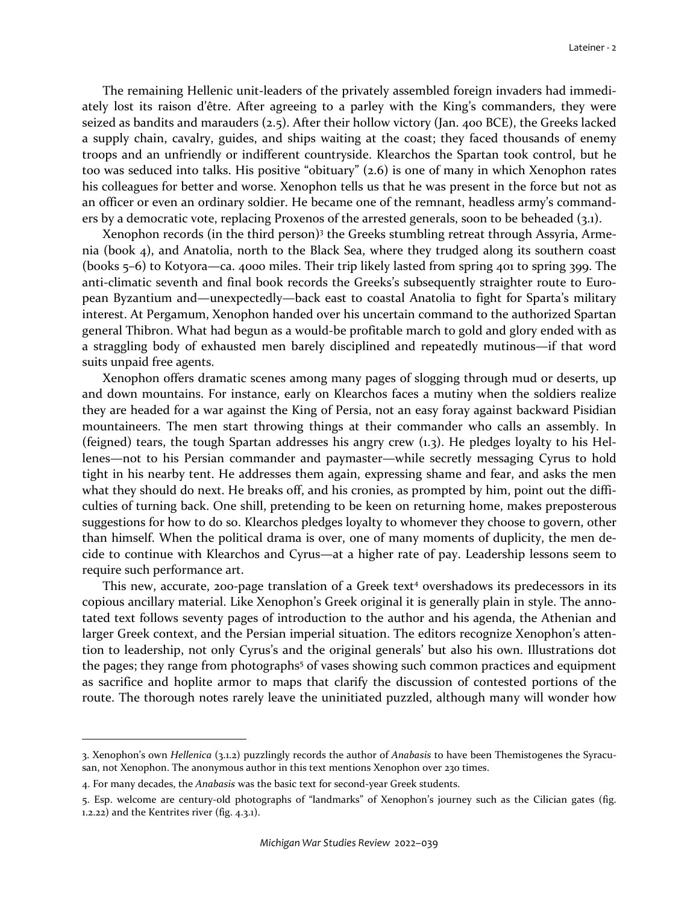The remaining Hellenic unit-leaders of the privately assembled foreign invaders had immediately lost its raison d'être. After agreeing to a parley with the King's commanders, they were seized as bandits and marauders (2.5). After their hollow victory (Jan. 400 BCE), the Greeks lacked a supply chain, cavalry, guides, and ships waiting at the coast; they faced thousands of enemy troops and an unfriendly or indifferent countryside. Klearchos the Spartan took control, but he too was seduced into talks. His positive "obituary" (2.6) is one of many in which Xenophon rates his colleagues for better and worse. Xenophon tells us that he was present in the force but not as an officer or even an ordinary soldier. He became one of the remnant, headless army's commanders by a democratic vote, replacing Proxenos of the arrested generals, soon to be beheaded (3.1).

Xenophon records (in the third person)<sup>3</sup> the Greeks stumbling retreat through Assyria, Armenia (book 4), and Anatolia, north to the Black Sea, where they trudged along its southern coast (books 5–6) to Kotyora—ca. 4000 miles. Their trip likely lasted from spring 401 to spring 399. The anti-climatic seventh and final book records the Greeks's subsequently straighter route to European Byzantium and—unexpectedly—back east to coastal Anatolia to fight for Sparta's military interest. At Pergamum, Xenophon handed over his uncertain command to the authorized Spartan general Thibron. What had begun as a would-be profitable march to gold and glory ended with as a straggling body of exhausted men barely disciplined and repeatedly mutinous—if that word suits unpaid free agents.

Xenophon offers dramatic scenes among many pages of slogging through mud or deserts, up and down mountains. For instance, early on Klearchos faces a mutiny when the soldiers realize they are headed for a war against the King of Persia, not an easy foray against backward Pisidian mountaineers. The men start throwing things at their commander who calls an assembly. In (feigned) tears, the tough Spartan addresses his angry crew (1.3). He pledges loyalty to his Hellenes—not to his Persian commander and paymaster—while secretly messaging Cyrus to hold tight in his nearby tent. He addresses them again, expressing shame and fear, and asks the men what they should do next. He breaks off, and his cronies, as prompted by him, point out the difficulties of turning back. One shill, pretending to be keen on returning home, makes preposterous suggestions for how to do so. Klearchos pledges loyalty to whomever they choose to govern, other than himself. When the political drama is over, one of many moments of duplicity, the men decide to continue with Klearchos and Cyrus—at a higher rate of pay. Leadership lessons seem to require such performance art.

This new, accurate, 200-page translation of a Greek text<sup>4</sup> overshadows its predecessors in its copious ancillary material. Like Xenophon's Greek original it is generally plain in style. The annotated text follows seventy pages of introduction to the author and his agenda, the Athenian and larger Greek context, and the Persian imperial situation. The editors recognize Xenophon's attention to leadership, not only Cyrus's and the original generals' but also his own. Illustrations dot the pages; they range from photographs<sup>5</sup> of vases showing such common practices and equipment as sacrifice and hoplite armor to maps that clarify the discussion of contested portions of the route. The thorough notes rarely leave the uninitiated puzzled, although many will wonder how

<sup>3.</sup> Xenophon's own *Hellenica* (3.1.2) puzzlingly records the author of *Anabasis* to have been Themistogenes the Syracusan, not Xenophon. The anonymous author in this text mentions Xenophon over 230 times.

<sup>4.</sup> For many decades, the *Anabasis* was the basic text for second-year Greek students.

<sup>5.</sup> Esp. welcome are century-old photographs of "landmarks" of Xenophon's journey such as the Cilician gates (fig. 1.2.22) and the Kentrites river (fig. 4.3.1).